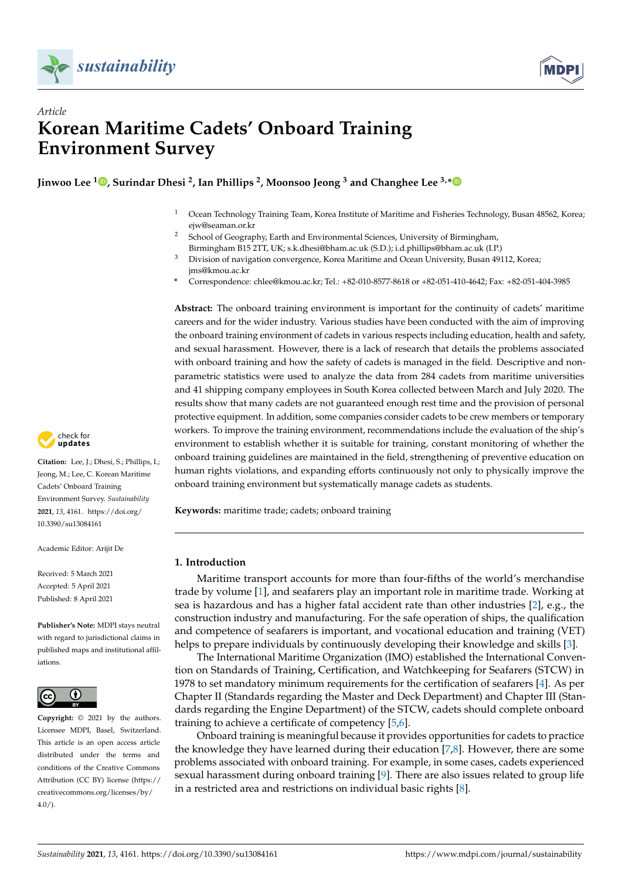



# *Article* **Korean Maritime Cadets' Onboard Training Environment Survey**

# **Jinwoo Lee <sup>1</sup> [,](https://orcid.org/0000-0002-6970-8715) Surindar Dhesi <sup>2</sup> , Ian Phillips <sup>2</sup> , Moonsoo Jeong <sup>3</sup> and Changhee Lee 3,[\\*](https://orcid.org/0000-0002-1343-871X)**

- <sup>1</sup> Ocean Technology Training Team, Korea Institute of Maritime and Fisheries Technology, Busan 48562, Korea; ejw@seaman.or.kr
- <sup>2</sup> School of Geography, Earth and Environmental Sciences, University of Birmingham, Birmingham B15 2TT, UK; s.k.dhesi@bham.ac.uk (S.D.); i.d.phillips@bham.ac.uk (I.P.)
- <sup>3</sup> Division of navigation convergence, Korea Maritime and Ocean University, Busan 49112, Korea; jms@kmou.ac.kr
- **\*** Correspondence: chlee@kmou.ac.kr; Tel.: +82-010-8577-8618 or +82-051-410-4642; Fax: +82-051-404-3985

**Abstract:** The onboard training environment is important for the continuity of cadets' maritime careers and for the wider industry. Various studies have been conducted with the aim of improving the onboard training environment of cadets in various respects including education, health and safety, and sexual harassment. However, there is a lack of research that details the problems associated with onboard training and how the safety of cadets is managed in the field. Descriptive and nonparametric statistics were used to analyze the data from 284 cadets from maritime universities and 41 shipping company employees in South Korea collected between March and July 2020. The results show that many cadets are not guaranteed enough rest time and the provision of personal protective equipment. In addition, some companies consider cadets to be crew members or temporary workers. To improve the training environment, recommendations include the evaluation of the ship's environment to establish whether it is suitable for training, constant monitoring of whether the onboard training guidelines are maintained in the field, strengthening of preventive education on human rights violations, and expanding efforts continuously not only to physically improve the onboard training environment but systematically manage cadets as students.

**Keywords:** maritime trade; cadets; onboard training

# **1. Introduction**

Maritime transport accounts for more than four-fifths of the world's merchandise trade by volume [\[1\]](#page-10-0), and seafarers play an important role in maritime trade. Working at sea is hazardous and has a higher fatal accident rate than other industries [\[2\]](#page-10-1), e.g., the construction industry and manufacturing. For the safe operation of ships, the qualification and competence of seafarers is important, and vocational education and training (VET) helps to prepare individuals by continuously developing their knowledge and skills [\[3\]](#page-10-2).

The International Maritime Organization (IMO) established the International Convention on Standards of Training, Certification, and Watchkeeping for Seafarers (STCW) in 1978 to set mandatory minimum requirements for the certification of seafarers [\[4\]](#page-10-3). As per Chapter II (Standards regarding the Master and Deck Department) and Chapter III (Standards regarding the Engine Department) of the STCW, cadets should complete onboard training to achieve a certificate of competency [\[5,](#page-10-4)[6\]](#page-11-0).

Onboard training is meaningful because it provides opportunities for cadets to practice the knowledge they have learned during their education [\[7](#page-11-1)[,8\]](#page-11-2). However, there are some problems associated with onboard training. For example, in some cases, cadets experienced sexual harassment during onboard training [\[9\]](#page-11-3). There are also issues related to group life in a restricted area and restrictions on individual basic rights [\[8\]](#page-11-2).



**Citation:** Lee, J.; Dhesi, S.; Phillips, I.; Jeong, M.; Lee, C. Korean Maritime Cadets' Onboard Training Environment Survey. *Sustainability* **2021**, *13*, 4161. [https://doi.org/](https://doi.org/10.3390/su13084161) [10.3390/su13084161](https://doi.org/10.3390/su13084161)

Academic Editor: Arijit De

Received: 5 March 2021 Accepted: 5 April 2021 Published: 8 April 2021

**Publisher's Note:** MDPI stays neutral with regard to jurisdictional claims in published maps and institutional affiliations.



**Copyright:** © 2021 by the authors. Licensee MDPI, Basel, Switzerland. This article is an open access article distributed under the terms and conditions of the Creative Commons Attribution (CC BY) license (https:/[/](https://creativecommons.org/licenses/by/4.0/) [creativecommons.org/licenses/by/](https://creativecommons.org/licenses/by/4.0/)  $4.0/$ ).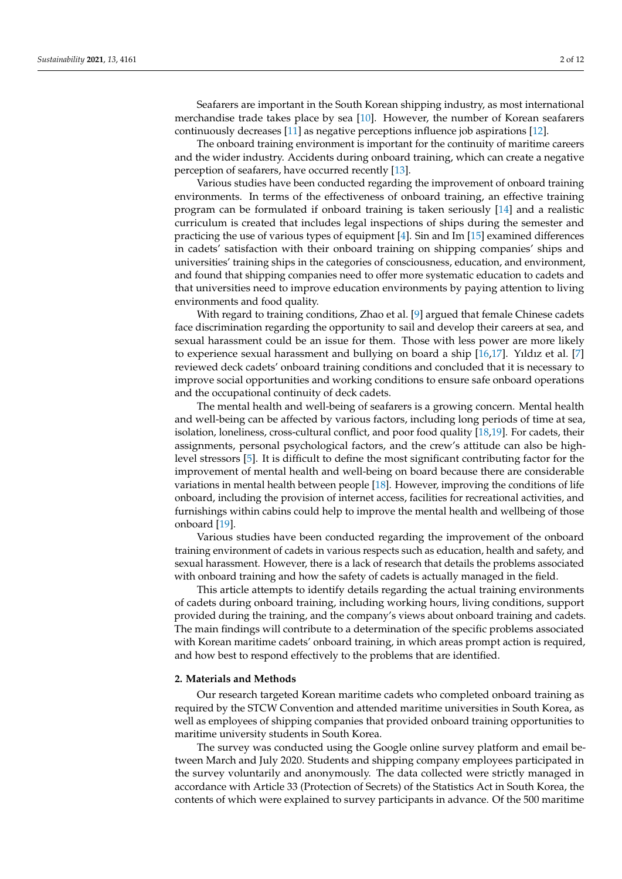Seafarers are important in the South Korean shipping industry, as most international merchandise trade takes place by sea [\[10\]](#page-11-4). However, the number of Korean seafarers continuously decreases [\[11\]](#page-11-5) as negative perceptions influence job aspirations [\[12\]](#page-11-6).

The onboard training environment is important for the continuity of maritime careers and the wider industry. Accidents during onboard training, which can create a negative perception of seafarers, have occurred recently [\[13\]](#page-11-7).

Various studies have been conducted regarding the improvement of onboard training environments. In terms of the effectiveness of onboard training, an effective training program can be formulated if onboard training is taken seriously [\[14\]](#page-11-8) and a realistic curriculum is created that includes legal inspections of ships during the semester and practicing the use of various types of equipment [\[4\]](#page-10-3). Sin and Im [\[15\]](#page-11-9) examined differences in cadets' satisfaction with their onboard training on shipping companies' ships and universities' training ships in the categories of consciousness, education, and environment, and found that shipping companies need to offer more systematic education to cadets and that universities need to improve education environments by paying attention to living environments and food quality.

With regard to training conditions, Zhao et al. [\[9\]](#page-11-3) argued that female Chinese cadets face discrimination regarding the opportunity to sail and develop their careers at sea, and sexual harassment could be an issue for them. Those with less power are more likely to experience sexual harassment and bullying on board a ship [\[16,](#page-11-10)[17\]](#page-11-11). Yıldız et al. [\[7\]](#page-11-1) reviewed deck cadets' onboard training conditions and concluded that it is necessary to improve social opportunities and working conditions to ensure safe onboard operations and the occupational continuity of deck cadets.

The mental health and well-being of seafarers is a growing concern. Mental health and well-being can be affected by various factors, including long periods of time at sea, isolation, loneliness, cross-cultural conflict, and poor food quality [\[18,](#page-11-12)[19\]](#page-11-13). For cadets, their assignments, personal psychological factors, and the crew's attitude can also be highlevel stressors [\[5\]](#page-10-4). It is difficult to define the most significant contributing factor for the improvement of mental health and well-being on board because there are considerable variations in mental health between people [\[18\]](#page-11-12). However, improving the conditions of life onboard, including the provision of internet access, facilities for recreational activities, and furnishings within cabins could help to improve the mental health and wellbeing of those onboard [\[19\]](#page-11-13).

Various studies have been conducted regarding the improvement of the onboard training environment of cadets in various respects such as education, health and safety, and sexual harassment. However, there is a lack of research that details the problems associated with onboard training and how the safety of cadets is actually managed in the field.

This article attempts to identify details regarding the actual training environments of cadets during onboard training, including working hours, living conditions, support provided during the training, and the company's views about onboard training and cadets. The main findings will contribute to a determination of the specific problems associated with Korean maritime cadets' onboard training, in which areas prompt action is required, and how best to respond effectively to the problems that are identified.

### **2. Materials and Methods**

Our research targeted Korean maritime cadets who completed onboard training as required by the STCW Convention and attended maritime universities in South Korea, as well as employees of shipping companies that provided onboard training opportunities to maritime university students in South Korea.

The survey was conducted using the Google online survey platform and email between March and July 2020. Students and shipping company employees participated in the survey voluntarily and anonymously. The data collected were strictly managed in accordance with Article 33 (Protection of Secrets) of the Statistics Act in South Korea, the contents of which were explained to survey participants in advance. Of the 500 maritime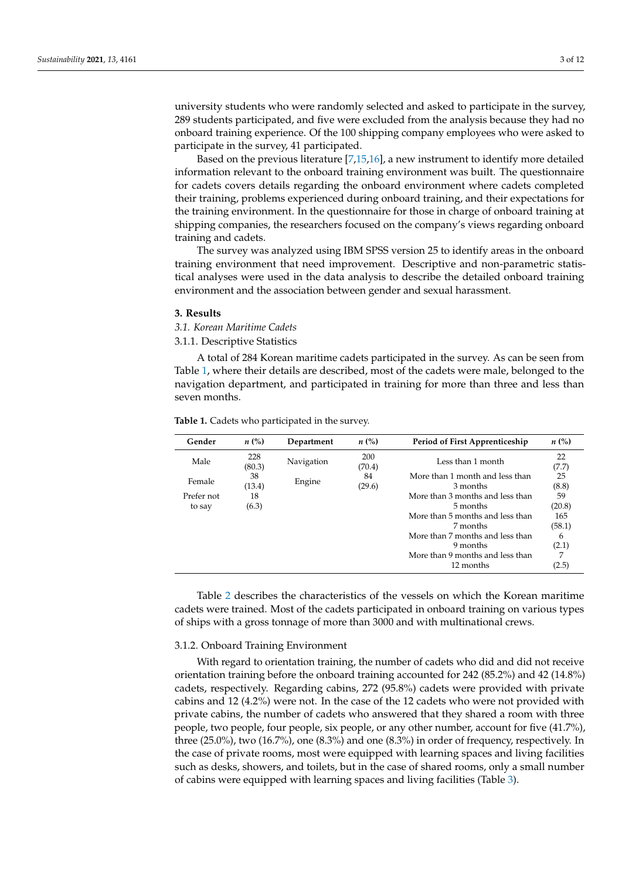university students who were randomly selected and asked to participate in the survey, 289 students participated, and five were excluded from the analysis because they had no onboard training experience. Of the 100 shipping company employees who were asked to participate in the survey, 41 participated.

Based on the previous literature [\[7,](#page-11-1)[15](#page-11-9)[,16\]](#page-11-10), a new instrument to identify more detailed information relevant to the onboard training environment was built. The questionnaire for cadets covers details regarding the onboard environment where cadets completed their training, problems experienced during onboard training, and their expectations for the training environment. In the questionnaire for those in charge of onboard training at shipping companies, the researchers focused on the company's views regarding onboard training and cadets.

The survey was analyzed using IBM SPSS version 25 to identify areas in the onboard training environment that need improvement. Descriptive and non-parametric statistical analyses were used in the data analysis to describe the detailed onboard training environment and the association between gender and sexual harassment.

# **3. Results**

*3.1. Korean Maritime Cadets*

# 3.1.1. Descriptive Statistics

A total of 284 Korean maritime cadets participated in the survey. As can be seen from Table [1,](#page-2-0) where their details are described, most of the cadets were male, belonged to the navigation department, and participated in training for more than three and less than seven months.

| $n\ (\%)$ | Department   | $n\ (\%)$            | Period of First Apprenticeship   | $n\left(\%\right)$              |
|-----------|--------------|----------------------|----------------------------------|---------------------------------|
| 228       |              | 200                  | Less than 1 month                | 22                              |
|           |              |                      |                                  | (7.7)                           |
|           |              | 84                   |                                  | 25                              |
| (13.4)    |              | (29.6)               | 3 months                         | (8.8)                           |
| 18        |              |                      | More than 3 months and less than | 59                              |
| (6.3)     |              |                      | 5 months                         | (20.8)                          |
|           |              |                      | More than 5 months and less than | 165                             |
|           |              |                      | 7 months                         | (58.1)                          |
|           |              |                      | More than 7 months and less than | 6                               |
|           |              |                      | 9 months                         | (2.1)                           |
|           |              |                      | More than 9 months and less than | 7                               |
|           |              |                      | 12 months                        | (2.5)                           |
|           | (80.3)<br>38 | Navigation<br>Engine | (70.4)                           | More than 1 month and less than |

<span id="page-2-0"></span>**Table 1.** Cadets who participated in the survey.

Table [2](#page-3-0) describes the characteristics of the vessels on which the Korean maritime cadets were trained. Most of the cadets participated in onboard training on various types of ships with a gross tonnage of more than 3000 and with multinational crews.

# 3.1.2. Onboard Training Environment

With regard to orientation training, the number of cadets who did and did not receive orientation training before the onboard training accounted for 242 (85.2%) and 42 (14.8%) cadets, respectively. Regarding cabins, 272 (95.8%) cadets were provided with private cabins and 12 (4.2%) were not. In the case of the 12 cadets who were not provided with private cabins, the number of cadets who answered that they shared a room with three people, two people, four people, six people, or any other number, account for five (41.7%), three (25.0%), two (16.7%), one (8.3%) and one (8.3%) in order of frequency, respectively. In the case of private rooms, most were equipped with learning spaces and living facilities such as desks, showers, and toilets, but in the case of shared rooms, only a small number of cabins were equipped with learning spaces and living facilities (Table [3\)](#page-3-1).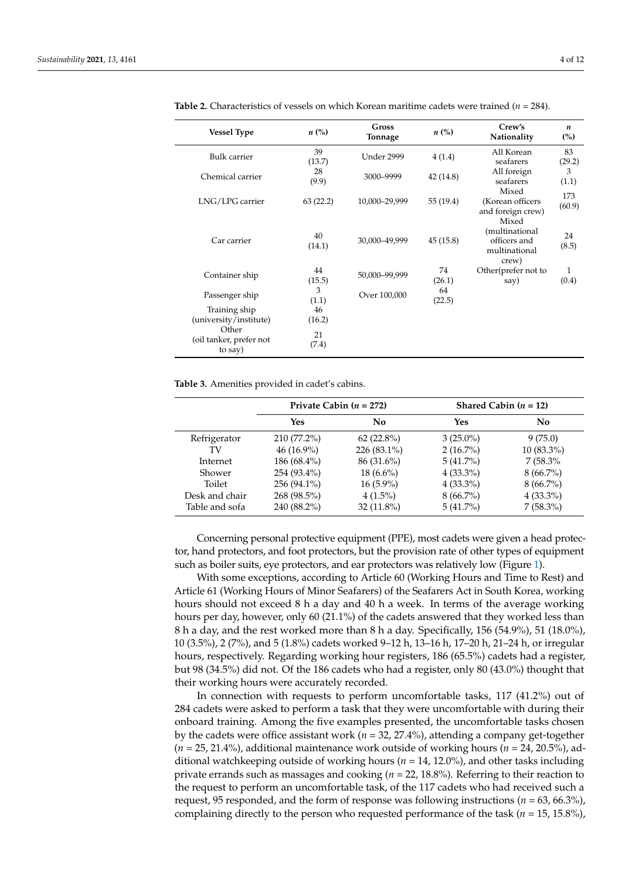| <b>Vessel Type</b>                                        | $n\ (\%)$                  | Gross<br>Tonnage | $n\ (\%)$    | Crew's<br>Nationality                                    | n<br>(%)      |
|-----------------------------------------------------------|----------------------------|------------------|--------------|----------------------------------------------------------|---------------|
| <b>Bulk</b> carrier                                       | 39<br>(13.7)               | Under 2999       | 4(1.4)       | All Korean<br>seafarers                                  | 83<br>(29.2)  |
| Chemical carrier                                          | 28<br>(9.9)                | 3000-9999        | 42 (14.8)    | All foreign<br>seafarers<br>Mixed                        | 3<br>(1.1)    |
| LNG/LPG carrier                                           | 63(22.2)                   | 10,000-29,999    | 55 (19.4)    | (Korean officers<br>and foreign crew)<br>Mixed           | 173<br>(60.9) |
| Car carrier                                               | 40<br>(14.1)               | 30,000-49,999    | 45(15.8)     | (multinational<br>officers and<br>multinational<br>crew) | 24<br>(8.5)   |
| Container ship                                            | 44<br>(15.5)               | 50,000-99,999    | 74<br>(26.1) | Other(prefer not to<br>say)                              | 1<br>(0.4)    |
| Passenger ship<br>Training ship<br>(university/institute) | 3<br>(1.1)<br>46<br>(16.2) | Over 100,000     | 64<br>(22.5) |                                                          |               |
| Other<br>(oil tanker, prefer not<br>to say)               | 21<br>(7.4)                |                  |              |                                                          |               |

<span id="page-3-0"></span>**Table 2.** Characteristics of vessels on which Korean maritime cadets were trained (*n* = 284).

<span id="page-3-1"></span>**Table 3.** Amenities provided in cadet's cabins.

|                | Private Cabin $(n = 272)$ |               |             | Shared Cabin $(n = 12)$ |
|----------------|---------------------------|---------------|-------------|-------------------------|
|                | Yes                       | No            | Yes         | No                      |
| Refrigerator   | 210 (77.2%)               | $62(22.8\%)$  | $3(25.0\%)$ | 9(75.0)                 |
| TV             | $46(16.9\%)$              | $226(83.1\%)$ | $2(16.7\%)$ | $10(83.3\%)$            |
| Internet       | 186 (68.4%)               | 86 (31.6%)    | $5(41.7\%)$ | 7(58.3%                 |
| Shower         | 254 (93.4%)               | $18(6.6\%)$   | $4(33.3\%)$ | $8(66.7\%)$             |
| Toilet         | 256 (94.1%)               | $16(5.9\%)$   | $4(33.3\%)$ | $8(66.7\%)$             |
| Desk and chair | 268 (98.5%)               | $4(1.5\%)$    | $8(66.7\%)$ | $4(33.3\%)$             |
| Table and sofa | 240 (88.2%)               | $32(11.8\%)$  | $5(41.7\%)$ | $7(58.3\%)$             |

Concerning personal protective equipment (PPE), most cadets were given a head protector, hand protectors, and foot protectors, but the provision rate of other types of equipment such as boiler suits, eye protectors, and ear protectors was relatively low (Figure [1\)](#page-4-0).

With some exceptions, according to Article 60 (Working Hours and Time to Rest) and Article 61 (Working Hours of Minor Seafarers) of the Seafarers Act in South Korea, working hours should not exceed 8 h a day and 40 h a week. In terms of the average working hours per day, however, only 60 (21.1%) of the cadets answered that they worked less than 8 h a day, and the rest worked more than 8 h a day. Specifically, 156 (54.9%), 51 (18.0%), 10 (3.5%), 2 (7%), and 5 (1.8%) cadets worked 9–12 h, 13–16 h, 17–20 h, 21–24 h, or irregular hours, respectively. Regarding working hour registers, 186 (65.5%) cadets had a register, but 98 (34.5%) did not. Of the 186 cadets who had a register, only 80 (43.0%) thought that their working hours were accurately recorded.

In connection with requests to perform uncomfortable tasks, 117 (41.2%) out of 284 cadets were asked to perform a task that they were uncomfortable with during their onboard training. Among the five examples presented, the uncomfortable tasks chosen by the cadets were office assistant work (*n* = 32, 27.4%), attending a company get-together (*n* = 25, 21.4%), additional maintenance work outside of working hours (*n* = 24, 20.5%), additional watchkeeping outside of working hours (*n* = 14, 12.0%), and other tasks including private errands such as massages and cooking (*n* = 22, 18.8%). Referring to their reaction to the request to perform an uncomfortable task, of the 117 cadets who had received such a request, 95 responded, and the form of response was following instructions (*n* = 63, 66.3%), complaining directly to the person who requested performance of the task (*n* = 15, 15.8%),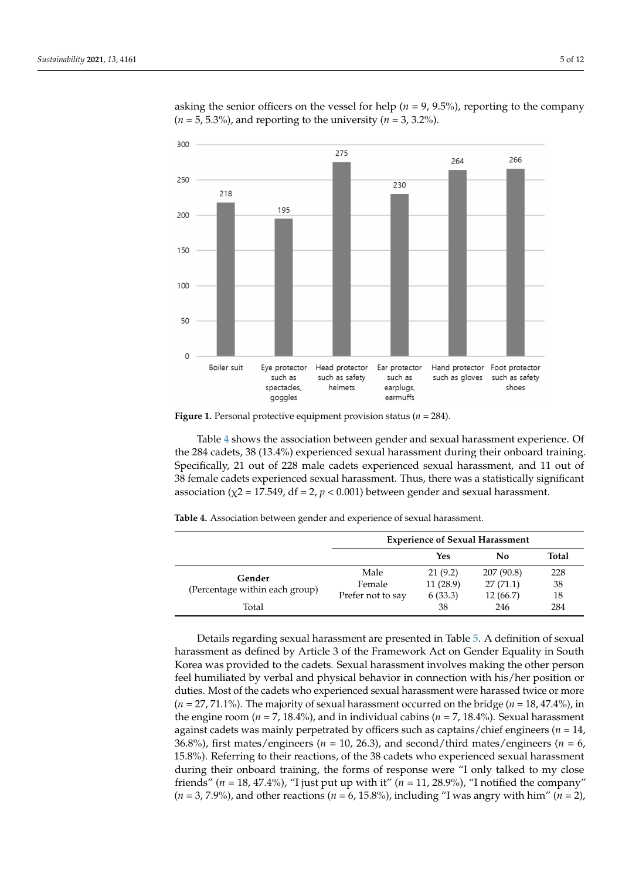

<span id="page-4-0"></span>

asking the senior officers on the vessel for help ( $n = 9, 9.5\%$ ), reporting to the company (*n* = 5, 5.3%), and reporting to the university (*n* = 3, 3.2%).

**Figure 1.** Personal protective equipment provision status ( $n = 284$ ).

Table [4](#page-4-1) shows the association between gender and sexual harassment experience. Of the 284 cadets, 38 (13.4%) experienced sexual harassment during their onboard training. Specifically, 21 out of 228 male cadets experienced sexual harassment, and 11 out of 38 female cadets experienced sexual harassment. Thus, there was a statistically significant association ( $\chi$ 2 = 17.549, df = 2,  $p$  < 0.001) between gender and sexual harassment.

<span id="page-4-1"></span>**Table 4.** Association between gender and experience of sexual harassment.

|                                | <b>Experience of Sexual Harassment</b> |          |            |       |
|--------------------------------|----------------------------------------|----------|------------|-------|
|                                |                                        | Yes      | No         | Total |
| Gender                         | Male                                   | 21(9.2)  | 207 (90.8) | 228   |
| (Percentage within each group) | Female                                 | 11(28.9) | 27(71.1)   | 38    |
|                                | Prefer not to say                      | 6(33.3)  | 12(66.7)   | 18    |
| Total                          |                                        | 38       | 246        | 284   |

Details regarding sexual harassment are presented in Table [5.](#page-5-0) A definition of sexual harassment as defined by Article 3 of the Framework Act on Gender Equality in South Korea was provided to the cadets. Sexual harassment involves making the other person feel humiliated by verbal and physical behavior in connection with his/her position or duties. Most of the cadets who experienced sexual harassment were harassed twice or more  $(n = 27, 71.1\%)$ . The majority of sexual harassment occurred on the bridge  $(n = 18, 47.4\%)$ , in the engine room (*n* = 7, 18.4%), and in individual cabins (*n* = 7, 18.4%). Sexual harassment against cadets was mainly perpetrated by officers such as captains/chief engineers ( $n = 14$ , 36.8%), first mates/engineers (*n* = 10, 26.3), and second/third mates/engineers (*n* = 6, 15.8%). Referring to their reactions, of the 38 cadets who experienced sexual harassment during their onboard training, the forms of response were "I only talked to my close friends" ( $n = 18, 47.4\%$ ), "I just put up with it" ( $n = 11, 28.9\%$ ), "I notified the company"  $(n = 3, 7.9\%)$ , and other reactions  $(n = 6, 15.8\%)$ , including "I was angry with him"  $(n = 2)$ ,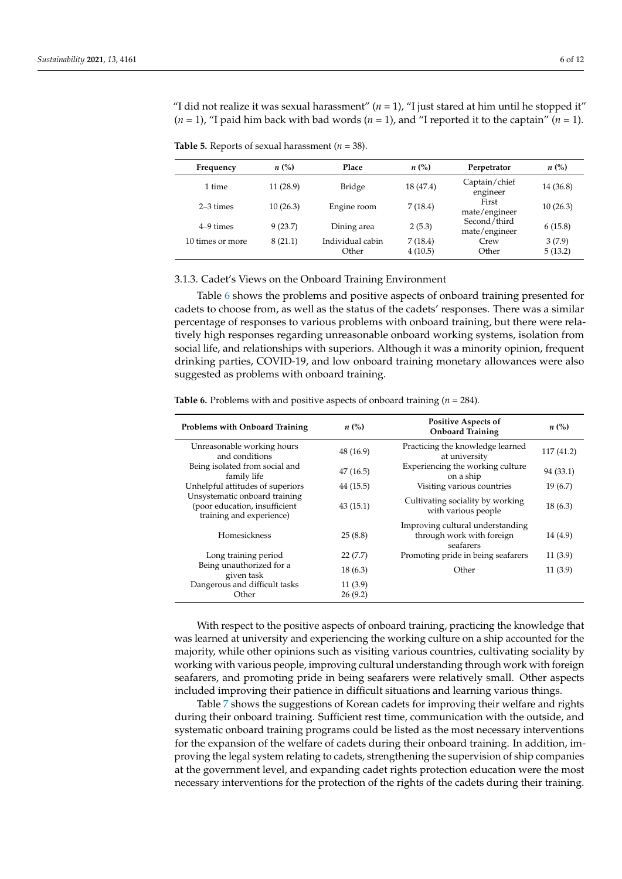"I did not realize it was sexual harassment"  $(n = 1)$ , "I just stared at him until he stopped it"  $(n = 1)$ , "I paid him back with bad words  $(n = 1)$ , and "I reported it to the captain"  $(n = 1)$ .

<span id="page-5-0"></span>

|  |  |  | <b>Table 5.</b> Reports of sexual harassment ( $n = 38$ ). |  |
|--|--|--|------------------------------------------------------------|--|
|--|--|--|------------------------------------------------------------|--|

| Frequency        | $n\ (\%)$ | Place                     | $n\left(\%\right)$ | Perpetrator                   | $n\ (\%)$         |
|------------------|-----------|---------------------------|--------------------|-------------------------------|-------------------|
| 1 time           | 11(28.9)  | Bridge                    | 18 (47.4)          | Captain/chief<br>engineer     | 14 (36.8)         |
| $2-3$ times      | 10(26.3)  | Engine room               | 7(18.4)            | First<br>mate/engineer        | 10(26.3)          |
| 4–9 times        | 9(23.7)   | Dining area               | 2(5.3)             | Second/third<br>mate/engineer | 6(15.8)           |
| 10 times or more | 8(21.1)   | Individual cabin<br>Other | 7(18.4)<br>4(10.5) | Crew<br>Other                 | 3(7.9)<br>5(13.2) |

#### 3.1.3. Cadet's Views on the Onboard Training Environment

Table [6](#page-5-1) shows the problems and positive aspects of onboard training presented for cadets to choose from, as well as the status of the cadets' responses. There was a similar percentage of responses to various problems with onboard training, but there were relatively high responses regarding unreasonable onboard working systems, isolation from social life, and relationships with superiors. Although it was a minority opinion, frequent drinking parties, COVID-19, and low onboard training monetary allowances were also suggested as problems with onboard training.

| <b>Problems with Onboard Training</b>                                                      | $n\ (\%)$ | <b>Positive Aspects of</b><br><b>Onboard Training</b>                      | $n\left(\%\right)$ |
|--------------------------------------------------------------------------------------------|-----------|----------------------------------------------------------------------------|--------------------|
| Unreasonable working hours<br>and conditions                                               | 48(16.9)  | Practicing the knowledge learned<br>at university                          | 117 (41.2)         |
| Being isolated from social and<br>family life                                              | 47(16.5)  | Experiencing the working culture<br>on a ship                              | 94 (33.1)          |
| Unhelpful attitudes of superiors                                                           | 44 (15.5) | Visiting various countries                                                 | 19(6.7)            |
| Unsystematic onboard training<br>(poor education, insufficient<br>training and experience) | 43(15.1)  | Cultivating sociality by working<br>with various people                    | 18(6.3)            |
| <b>Homesickness</b>                                                                        | 25(8.8)   | Improving cultural understanding<br>through work with foreign<br>seafarers | 14 (4.9)           |
| Long training period                                                                       | 22(7.7)   | Promoting pride in being seafarers                                         | 11(3.9)            |
| Being unauthorized for a<br>given task                                                     | 18(6.3)   | Other                                                                      | 11(3.9)            |
| Dangerous and difficult tasks                                                              | 11(3.9)   |                                                                            |                    |
| Other                                                                                      | 26(9.2)   |                                                                            |                    |
|                                                                                            |           |                                                                            |                    |

<span id="page-5-1"></span>**Table 6.** Problems with and positive aspects of onboard training (*n* = 284).

With respect to the positive aspects of onboard training, practicing the knowledge that was learned at university and experiencing the working culture on a ship accounted for the majority, while other opinions such as visiting various countries, cultivating sociality by working with various people, improving cultural understanding through work with foreign seafarers, and promoting pride in being seafarers were relatively small. Other aspects included improving their patience in difficult situations and learning various things.

Table [7](#page-6-0) shows the suggestions of Korean cadets for improving their welfare and rights during their onboard training. Sufficient rest time, communication with the outside, and systematic onboard training programs could be listed as the most necessary interventions for the expansion of the welfare of cadets during their onboard training. In addition, improving the legal system relating to cadets, strengthening the supervision of ship companies at the government level, and expanding cadet rights protection education were the most necessary interventions for the protection of the rights of the cadets during their training.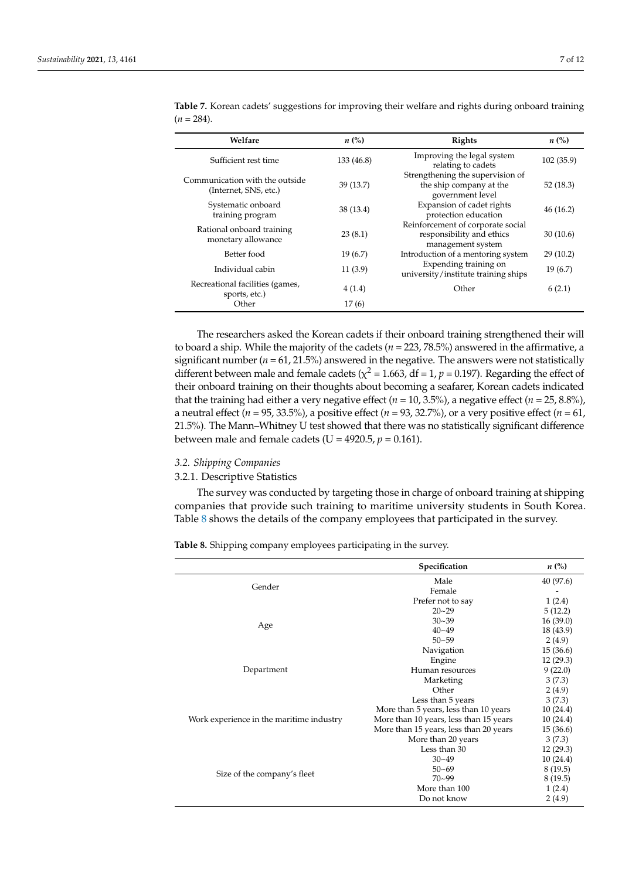| Welfare                                                 | $n\left(\%\right)$ | <b>Rights</b>                                                                       | $n\left(\%\right)$ |
|---------------------------------------------------------|--------------------|-------------------------------------------------------------------------------------|--------------------|
| Sufficient rest time                                    | 133 (46.8)         | Improving the legal system<br>relating to cadets                                    | 102(35.9)          |
| Communication with the outside<br>(Internet, SNS, etc.) | 39 (13.7)          | Strengthening the supervision of<br>the ship company at the<br>government level     | 52(18.3)           |
| Systematic onboard<br>training program                  | 38 (13.4)          | Expansion of cadet rights<br>protection education                                   | 46(16.2)           |
| Rational onboard training<br>monetary allowance         | 23(8.1)            | Reinforcement of corporate social<br>responsibility and ethics<br>management system | 30(10.6)           |
| Better food                                             | 19(6.7)            | Introduction of a mentoring system                                                  | 29(10.2)           |
| Individual cabin                                        | 11(3.9)            | Expending training on<br>university/institute training ships                        | 19(6.7)            |
| Recreational facilities (games,<br>sports, etc.)        | 4(1.4)             | Other                                                                               | 6(2.1)             |
| Other                                                   | 17(6)              |                                                                                     |                    |
|                                                         |                    |                                                                                     |                    |

<span id="page-6-0"></span>**Table 7.** Korean cadets' suggestions for improving their welfare and rights during onboard training  $(n = 284)$ .

The researchers asked the Korean cadets if their onboard training strengthened their will to board a ship. While the majority of the cadets (*n* = 223, 78.5%) answered in the affirmative, a significant number ( $n = 61, 21.5\%$ ) answered in the negative. The answers were not statistically different between male and female cadets ( $\chi^2$  = 1.663, df = 1, p = 0.197). Regarding the effect of their onboard training on their thoughts about becoming a seafarer, Korean cadets indicated that the training had either a very negative effect ( $n = 10, 3.5\%$ ), a negative effect ( $n = 25, 8.8\%$ ), a neutral effect (*n* = 95, 33.5%), a positive effect (*n* = 93, 32.7%), or a very positive effect (*n* = 61, 21.5%). The Mann–Whitney U test showed that there was no statistically significant difference between male and female cadets ( $U = 4920.5$ ,  $p = 0.161$ ).

# *3.2. Shipping Companies*

#### 3.2.1. Descriptive Statistics

The survey was conducted by targeting those in charge of onboard training at shipping companies that provide such training to maritime university students in South Korea. Table [8](#page-6-1) shows the details of the company employees that participated in the survey.

<span id="page-6-1"></span>**Table 8.** Shipping company employees participating in the survey.

|                                          | Specification                          | $n\ (\%)$ |
|------------------------------------------|----------------------------------------|-----------|
|                                          | Male                                   | 40 (97.6) |
| Gender                                   | Female                                 |           |
|                                          | Prefer not to say                      | 1(2.4)    |
|                                          | $20 - 29$                              | 5(12.2)   |
|                                          | $30 - 39$                              | 16(39.0)  |
| Age                                      | $40 - 49$                              | 18 (43.9) |
|                                          | $50 - 59$                              | 2(4.9)    |
|                                          | Navigation                             | 15(36.6)  |
|                                          | Engine                                 | 12(29.3)  |
| Department                               | Human resources                        | 9(22.0)   |
|                                          | Marketing                              | 3(7.3)    |
|                                          | Other                                  | 2(4.9)    |
|                                          | Less than 5 years                      | 3(7.3)    |
|                                          | More than 5 years, less than 10 years  | 10(24.4)  |
| Work experience in the maritime industry | More than 10 years, less than 15 years | 10(24.4)  |
|                                          | More than 15 years, less than 20 years | 15(36.6)  |
|                                          | More than 20 years                     | 3(7.3)    |
|                                          | Less than 30                           | 12(29.3)  |
|                                          | $30 - 49$                              | 10(24.4)  |
| Size of the company's fleet              | $50 - 69$                              | 8(19.5)   |
|                                          | $70 - 99$                              | 8(19.5)   |
|                                          | More than 100                          | 1(2.4)    |
|                                          | Do not know                            | 2(4.9)    |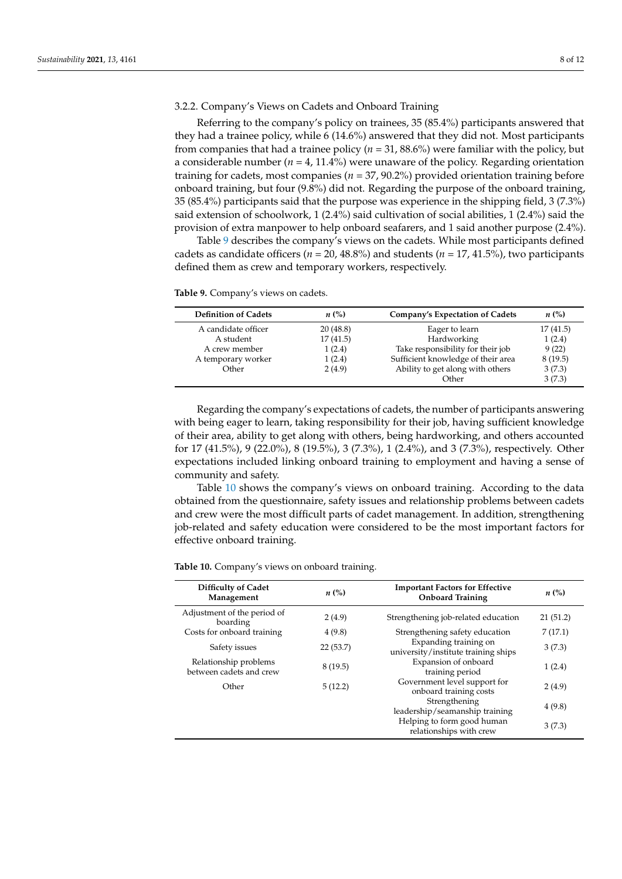# 3.2.2. Company's Views on Cadets and Onboard Training

Referring to the company's policy on trainees, 35 (85.4%) participants answered that they had a trainee policy, while 6 (14.6%) answered that they did not. Most participants from companies that had a trainee policy (*n* = 31, 88.6%) were familiar with the policy, but a considerable number  $(n = 4, 11.4\%)$  were unaware of the policy. Regarding orientation training for cadets, most companies (*n* = 37, 90.2%) provided orientation training before onboard training, but four (9.8%) did not. Regarding the purpose of the onboard training, 35 (85.4%) participants said that the purpose was experience in the shipping field, 3 (7.3%) said extension of schoolwork, 1 (2.4%) said cultivation of social abilities, 1 (2.4%) said the provision of extra manpower to help onboard seafarers, and 1 said another purpose (2.4%).

Table [9](#page-7-0) describes the company's views on the cadets. While most participants defined cadets as candidate officers ( $n = 20, 48.8\%$ ) and students ( $n = 17, 41.5\%$ ), two participants defined them as crew and temporary workers, respectively.

<span id="page-7-0"></span>**Table 9.** Company's views on cadets.

| <b>Definition of Cadets</b> | $n\left(\%\right)$ | <b>Company's Expectation of Cadets</b> | $n\ (\%)$ |
|-----------------------------|--------------------|----------------------------------------|-----------|
| A candidate officer         | 20 (48.8)          | Eager to learn                         | 17(41.5)  |
| A student                   | 17(41.5)           | Hardworking                            | 1(2.4)    |
| A crew member               | 1(2.4)             | Take responsibility for their job      | 9(22)     |
| A temporary worker          | 1(2.4)             | Sufficient knowledge of their area     | 8(19.5)   |
| Other                       | 2(4.9)             | Ability to get along with others       | 3(7.3)    |
|                             |                    | Other                                  | 3(7.3)    |

Regarding the company's expectations of cadets, the number of participants answering with being eager to learn, taking responsibility for their job, having sufficient knowledge of their area, ability to get along with others, being hardworking, and others accounted for 17 (41.5%), 9 (22.0%), 8 (19.5%), 3 (7.3%), 1 (2.4%), and 3 (7.3%), respectively. Other expectations included linking onboard training to employment and having a sense of community and safety.

Table [10](#page-7-1) shows the company's views on onboard training. According to the data obtained from the questionnaire, safety issues and relationship problems between cadets and crew were the most difficult parts of cadet management. In addition, strengthening job-related and safety education were considered to be the most important factors for effective onboard training.

<span id="page-7-1"></span>**Table 10.** Company's views on onboard training.

| Difficulty of Cadet<br>Management                | $n\left(\%\right)$ | <b>Important Factors for Effective</b><br><b>Onboard Training</b> | $n\left(\%\right)$ |
|--------------------------------------------------|--------------------|-------------------------------------------------------------------|--------------------|
| Adjustment of the period of<br>boarding          | 2(4.9)             | Strengthening job-related education                               | 21(51.2)           |
| Costs for onboard training                       | 4(9.8)             | Strengthening safety education                                    | 7(17.1)            |
| Safety issues                                    | 22(53.7)           | Expanding training on<br>university/institute training ships      | 3(7.3)             |
| Relationship problems<br>between cadets and crew | 8(19.5)            | Expansion of onboard<br>training period                           | 1(2.4)             |
| Other                                            | 5(12.2)            | Government level support for<br>onboard training costs            | 2(4.9)             |
|                                                  |                    | Strengthening<br>leadership/seamanship training                   | 4(9.8)             |
|                                                  |                    | Helping to form good human<br>relationships with crew             | 3(7.3)             |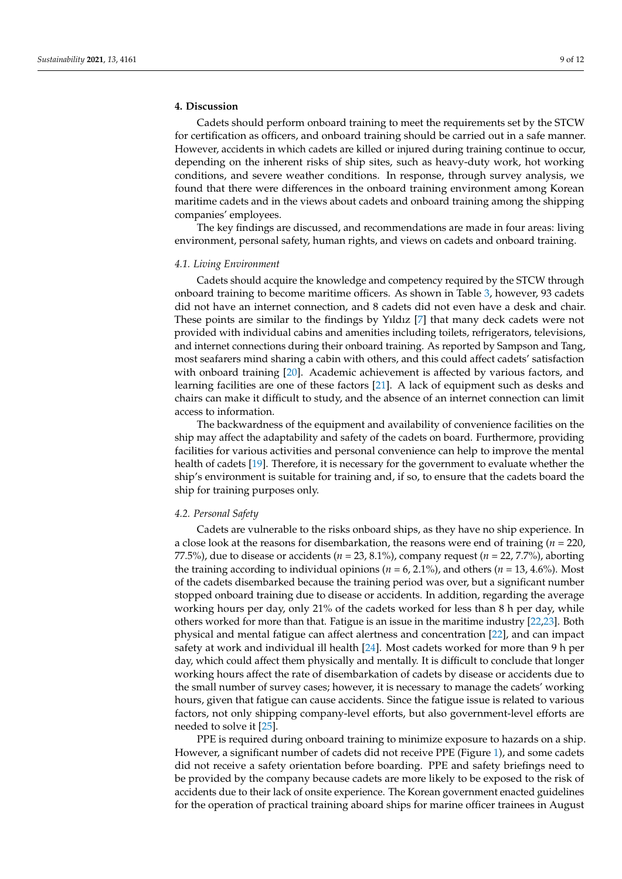# **4. Discussion**

Cadets should perform onboard training to meet the requirements set by the STCW for certification as officers, and onboard training should be carried out in a safe manner. However, accidents in which cadets are killed or injured during training continue to occur, depending on the inherent risks of ship sites, such as heavy-duty work, hot working conditions, and severe weather conditions. In response, through survey analysis, we found that there were differences in the onboard training environment among Korean maritime cadets and in the views about cadets and onboard training among the shipping companies' employees.

The key findings are discussed, and recommendations are made in four areas: living environment, personal safety, human rights, and views on cadets and onboard training.

#### *4.1. Living Environment*

Cadets should acquire the knowledge and competency required by the STCW through onboard training to become maritime officers. As shown in Table [3,](#page-3-1) however, 93 cadets did not have an internet connection, and 8 cadets did not even have a desk and chair. These points are similar to the findings by Yıldız [\[7\]](#page-11-1) that many deck cadets were not provided with individual cabins and amenities including toilets, refrigerators, televisions, and internet connections during their onboard training. As reported by Sampson and Tang, most seafarers mind sharing a cabin with others, and this could affect cadets' satisfaction with onboard training [\[20\]](#page-11-14). Academic achievement is affected by various factors, and learning facilities are one of these factors [\[21\]](#page-11-15). A lack of equipment such as desks and chairs can make it difficult to study, and the absence of an internet connection can limit access to information.

The backwardness of the equipment and availability of convenience facilities on the ship may affect the adaptability and safety of the cadets on board. Furthermore, providing facilities for various activities and personal convenience can help to improve the mental health of cadets [\[19\]](#page-11-13). Therefore, it is necessary for the government to evaluate whether the ship's environment is suitable for training and, if so, to ensure that the cadets board the ship for training purposes only.

#### *4.2. Personal Safety*

Cadets are vulnerable to the risks onboard ships, as they have no ship experience. In a close look at the reasons for disembarkation, the reasons were end of training (*n* = 220, 77.5%), due to disease or accidents (*n* = 23, 8.1%), company request (*n* = 22, 7.7%), aborting the training according to individual opinions (*n* = 6, 2.1%), and others (*n* = 13, 4.6%). Most of the cadets disembarked because the training period was over, but a significant number stopped onboard training due to disease or accidents. In addition, regarding the average working hours per day, only 21% of the cadets worked for less than 8 h per day, while others worked for more than that. Fatigue is an issue in the maritime industry [\[22](#page-11-16)[,23\]](#page-11-17). Both physical and mental fatigue can affect alertness and concentration [\[22\]](#page-11-16), and can impact safety at work and individual ill health [\[24\]](#page-11-18). Most cadets worked for more than 9 h per day, which could affect them physically and mentally. It is difficult to conclude that longer working hours affect the rate of disembarkation of cadets by disease or accidents due to the small number of survey cases; however, it is necessary to manage the cadets' working hours, given that fatigue can cause accidents. Since the fatigue issue is related to various factors, not only shipping company-level efforts, but also government-level efforts are needed to solve it [\[25\]](#page-11-19).

PPE is required during onboard training to minimize exposure to hazards on a ship. However, a significant number of cadets did not receive PPE (Figure [1\)](#page-4-0), and some cadets did not receive a safety orientation before boarding. PPE and safety briefings need to be provided by the company because cadets are more likely to be exposed to the risk of accidents due to their lack of onsite experience. The Korean government enacted guidelines for the operation of practical training aboard ships for marine officer trainees in August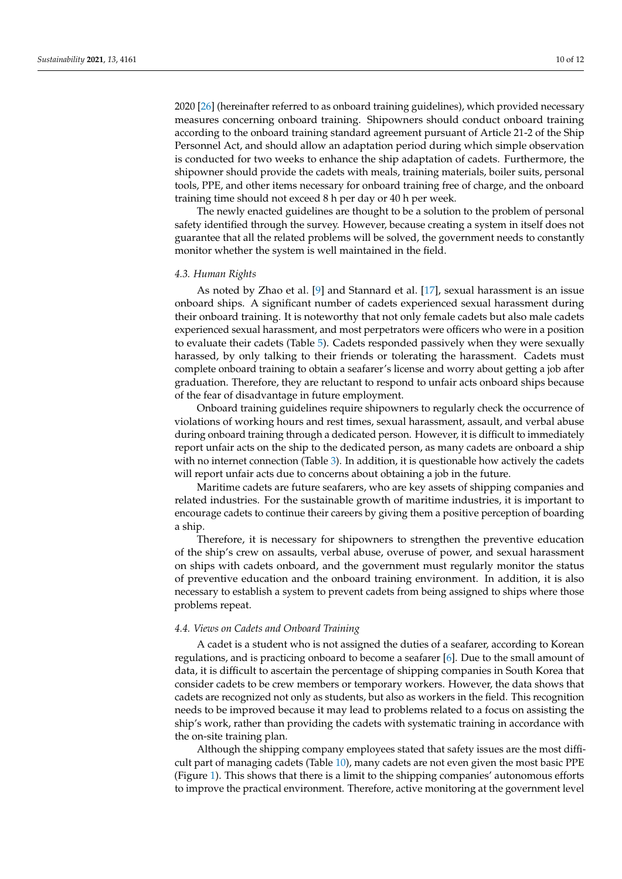2020 [\[26\]](#page-11-20) (hereinafter referred to as onboard training guidelines), which provided necessary measures concerning onboard training. Shipowners should conduct onboard training according to the onboard training standard agreement pursuant of Article 21-2 of the Ship Personnel Act, and should allow an adaptation period during which simple observation is conducted for two weeks to enhance the ship adaptation of cadets. Furthermore, the shipowner should provide the cadets with meals, training materials, boiler suits, personal tools, PPE, and other items necessary for onboard training free of charge, and the onboard training time should not exceed 8 h per day or 40 h per week.

The newly enacted guidelines are thought to be a solution to the problem of personal safety identified through the survey. However, because creating a system in itself does not guarantee that all the related problems will be solved, the government needs to constantly monitor whether the system is well maintained in the field.

#### *4.3. Human Rights*

As noted by Zhao et al. [\[9\]](#page-11-3) and Stannard et al. [\[17\]](#page-11-11), sexual harassment is an issue onboard ships. A significant number of cadets experienced sexual harassment during their onboard training. It is noteworthy that not only female cadets but also male cadets experienced sexual harassment, and most perpetrators were officers who were in a position to evaluate their cadets (Table [5\)](#page-5-0). Cadets responded passively when they were sexually harassed, by only talking to their friends or tolerating the harassment. Cadets must complete onboard training to obtain a seafarer's license and worry about getting a job after graduation. Therefore, they are reluctant to respond to unfair acts onboard ships because of the fear of disadvantage in future employment.

Onboard training guidelines require shipowners to regularly check the occurrence of violations of working hours and rest times, sexual harassment, assault, and verbal abuse during onboard training through a dedicated person. However, it is difficult to immediately report unfair acts on the ship to the dedicated person, as many cadets are onboard a ship with no internet connection (Table [3\)](#page-3-1). In addition, it is questionable how actively the cadets will report unfair acts due to concerns about obtaining a job in the future.

Maritime cadets are future seafarers, who are key assets of shipping companies and related industries. For the sustainable growth of maritime industries, it is important to encourage cadets to continue their careers by giving them a positive perception of boarding a ship.

Therefore, it is necessary for shipowners to strengthen the preventive education of the ship's crew on assaults, verbal abuse, overuse of power, and sexual harassment on ships with cadets onboard, and the government must regularly monitor the status of preventive education and the onboard training environment. In addition, it is also necessary to establish a system to prevent cadets from being assigned to ships where those problems repeat.

# *4.4. Views on Cadets and Onboard Training*

A cadet is a student who is not assigned the duties of a seafarer, according to Korean regulations, and is practicing onboard to become a seafarer [\[6\]](#page-11-0). Due to the small amount of data, it is difficult to ascertain the percentage of shipping companies in South Korea that consider cadets to be crew members or temporary workers. However, the data shows that cadets are recognized not only as students, but also as workers in the field. This recognition needs to be improved because it may lead to problems related to a focus on assisting the ship's work, rather than providing the cadets with systematic training in accordance with the on-site training plan.

Although the shipping company employees stated that safety issues are the most difficult part of managing cadets (Table [10\)](#page-7-1), many cadets are not even given the most basic PPE (Figure [1\)](#page-4-0). This shows that there is a limit to the shipping companies' autonomous efforts to improve the practical environment. Therefore, active monitoring at the government level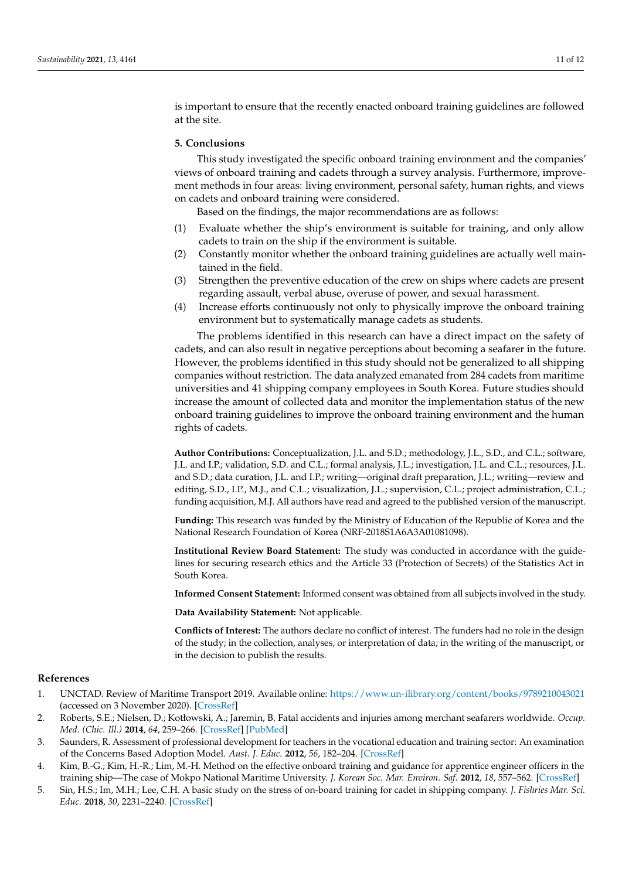is important to ensure that the recently enacted onboard training guidelines are followed at the site.

# **5. Conclusions**

This study investigated the specific onboard training environment and the companies' views of onboard training and cadets through a survey analysis. Furthermore, improvement methods in four areas: living environment, personal safety, human rights, and views on cadets and onboard training were considered.

Based on the findings, the major recommendations are as follows:

- (1) Evaluate whether the ship's environment is suitable for training, and only allow cadets to train on the ship if the environment is suitable.
- (2) Constantly monitor whether the onboard training guidelines are actually well maintained in the field.
- (3) Strengthen the preventive education of the crew on ships where cadets are present regarding assault, verbal abuse, overuse of power, and sexual harassment.
- (4) Increase efforts continuously not only to physically improve the onboard training environment but to systematically manage cadets as students.

The problems identified in this research can have a direct impact on the safety of cadets, and can also result in negative perceptions about becoming a seafarer in the future. However, the problems identified in this study should not be generalized to all shipping companies without restriction. The data analyzed emanated from 284 cadets from maritime universities and 41 shipping company employees in South Korea. Future studies should increase the amount of collected data and monitor the implementation status of the new onboard training guidelines to improve the onboard training environment and the human rights of cadets.

**Author Contributions:** Conceptualization, J.L. and S.D.; methodology, J.L., S.D., and C.L.; software, J.L. and I.P.; validation, S.D. and C.L.; formal analysis, J.L.; investigation, J.L. and C.L.; resources, J.L. and S.D.; data curation, J.L. and I.P.; writing—original draft preparation, J.L.; writing—review and editing, S.D., I.P., M.J., and C.L.; visualization, J.L.; supervision, C.L.; project administration, C.L.; funding acquisition, M.J. All authors have read and agreed to the published version of the manuscript.

**Funding:** This research was funded by the Ministry of Education of the Republic of Korea and the National Research Foundation of Korea (NRF-2018S1A6A3A01081098).

**Institutional Review Board Statement:** The study was conducted in accordance with the guidelines for securing research ethics and the Article 33 (Protection of Secrets) of the Statistics Act in South Korea.

**Informed Consent Statement:** Informed consent was obtained from all subjects involved in the study.

**Data Availability Statement:** Not applicable.

**Conflicts of Interest:** The authors declare no conflict of interest. The funders had no role in the design of the study; in the collection, analyses, or interpretation of data; in the writing of the manuscript, or in the decision to publish the results.

#### **References**

- <span id="page-10-0"></span>1. UNCTAD. Review of Maritime Transport 2019. Available online: <https://www.un-ilibrary.org/content/books/9789210043021> (accessed on 3 November 2020). [\[CrossRef\]](http://doi.org/10.18356/17932789-en)
- <span id="page-10-1"></span>2. Roberts, S.E.; Nielsen, D.; Kotłowski, A.; Jaremin, B. Fatal accidents and injuries among merchant seafarers worldwide. *Occup. Med. (Chic. Ill.)* **2014**, *64*, 259–266. [\[CrossRef\]](http://doi.org/10.1093/occmed/kqu017) [\[PubMed\]](http://www.ncbi.nlm.nih.gov/pubmed/24671028)
- <span id="page-10-2"></span>3. Saunders, R. Assessment of professional development for teachers in the vocational education and training sector: An examination of the Concerns Based Adoption Model. *Aust. J. Educ.* **2012**, *56*, 182–204. [\[CrossRef\]](http://doi.org/10.1177/000494411205600206)
- <span id="page-10-3"></span>4. Kim, B.-G.; Kim, H.-R.; Lim, M.-H. Method on the effective onboard training and guidance for apprentice engineer officers in the training ship—The case of Mokpo National Maritime University. *J. Korean Soc. Mar. Environ. Saf.* **2012**, *18*, 557–562. [\[CrossRef\]](http://doi.org/10.7837/kosomes.2012.18.6.557)
- <span id="page-10-4"></span>5. Sin, H.S.; Im, M.H.; Lee, C.H. A basic study on the stress of on-board training for cadet in shipping company. *J. Fishries Mar. Sci. Educ.* **2018**, *30*, 2231–2240. [\[CrossRef\]](http://doi.org/10.13000/JFMSE.2018.12.30.6.2231)